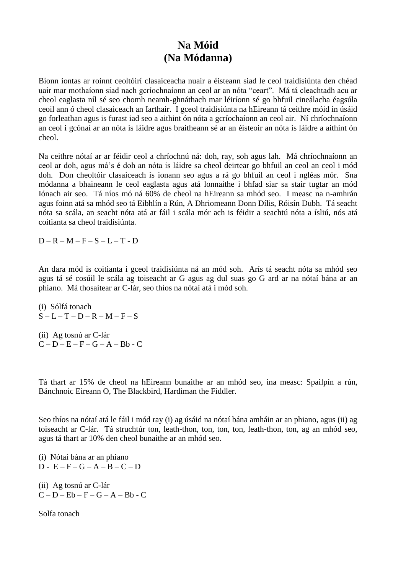## **Na Móid (Na Módanna)**

Bíonn iontas ar roinnt ceoltóirí clasaiceacha nuair a éisteann siad le ceol traidisiúnta den chéad uair mar mothaíonn siad nach gcríochnaíonn an ceol ar an nóta "ceart". Má tá cleachtadh acu ar cheol eaglasta níl sé seo chomh neamh-ghnáthach mar léiríonn sé go bhfuil cineálacha éagsúla ceoil ann ó cheol clasaiceach an Iarthair. I gceol traidisiúnta na hEireann tá ceithre móid in úsáid go forleathan agus is furast iad seo a aithint ón nóta a gcríochaíonn an ceol air. Ní chríochnaíonn an ceol i gcónaí ar an nóta is láidre agus braitheann sé ar an éisteoir an nóta is láidre a aithint ón cheol.

Na ceithre nótaí ar ar féidir ceol a chríochnú ná: doh, ray, soh agus lah. Má chríochnaíonn an ceol ar doh, agus má"s é doh an nóta is láidre sa cheol deirtear go bhfuil an ceol an ceol i mód doh. Don cheoltóir clasaiceach is ionann seo agus a rá go bhfuil an ceol i ngléas mór. Sna módanna a bhaineann le ceol eaglasta agus atá lonnaithe i bhfad siar sa stair tugtar an mód Iónach air seo. Tá níos mó ná 60% de cheol na hEireann sa mhód seo. I measc na n-amhrán agus foinn atá sa mhód seo tá Eibhlín a Rún, A Dhriomeann Donn Dílis, Róisín Dubh. Tá seacht nóta sa scála, an seacht nóta atá ar fáil i scála mór ach is féidir a seachtú nóta a ísliú, nós atá coitianta sa cheol traidisiúnta.

 $D - R - M - F - S - L - T - D$ 

An dara mód is coitianta i gceol traidisiúnta ná an mód soh. Arís tá seacht nóta sa mhód seo agus tá sé cosúil le scála ag toiseacht ar G agus ag dul suas go G ard ar na nótaí bána ar an phiano. Má thosaítear ar C-lár, seo thíos na nótaí atá i mód soh.

(i) Sólfá tonach  $S - L - T - D - R - M - F - S$ 

(ii) Ag tosnú ar C-lár  $C - D - E - F - G - A - Bb - C$ 

Tá thart ar 15% de cheol na hEireann bunaithe ar an mhód seo, ina measc: Spailpín a rún, Bánchnoic Eireann O, The Blackbird, Hardiman the Fiddler.

Seo thíos na nótaí atá le fáil i mód ray (i) ag úsáid na nótaí bána amháin ar an phiano, agus (ii) ag toiseacht ar C-lár. Tá struchtúr ton, leath-thon, ton, ton, ton, leath-thon, ton, ag an mhód seo, agus tá thart ar 10% den cheol bunaithe ar an mhód seo.

(i) Nótaí bána ar an phiano  $D - E - F - G - A - B - C - D$ 

(ii) Ag tosnú ar C-lár  $C - D - Eb - F - G - A - Bb - C$ 

Solfa tonach